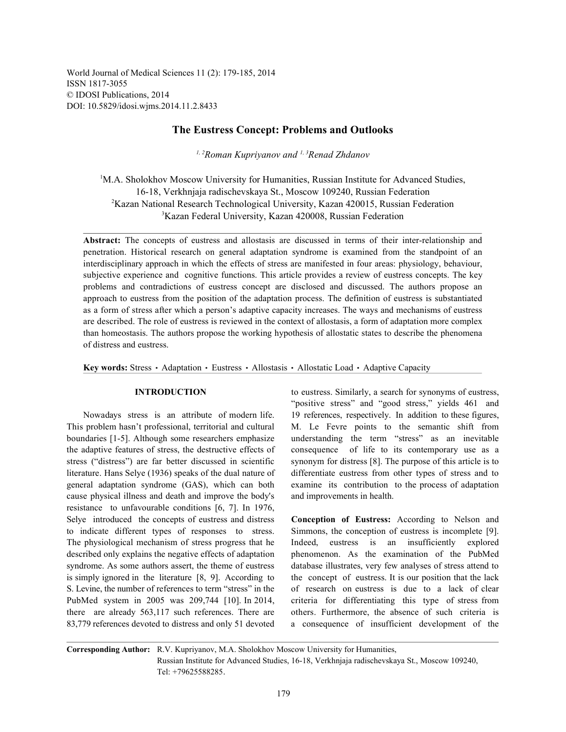World Journal of Medical Sciences 11 (2): 179-185, 2014 ISSN 1817-3055 © IDOSI Publications, 2014 DOI: 10.5829/idosi.wjms.2014.11.2.8433

# **The Eustress Concept: Problems and Outlooks**

<sup>1, 2</sup> Roman Kupriyanov and <sup>1, 3</sup> Renad Zhdanov

<sup>1</sup>M.A. Sholokhov Moscow University for Humanities, Russian Institute for Advanced Studies, 16-18, Verkhnjaja radischevskaya St., Moscow 109240, Russian Federation <sup>2</sup>Kazan National Research Technological University, Kazan 420015, Russian Federation <sup>3</sup>Kazan Federal University, Kazan 420008, Russian Federation

**Abstract:** The concepts of eustress and allostasis are discussed in terms of their inter-relationship and penetration. Historical research on general adaptation syndrome is examined from the standpoint of an interdisciplinary approach in which the effects of stress are manifested in four areas: physiology, behaviour, subjective experience and cognitive functions. This article provides a review of eustress concepts. The key problems and contradictions of eustress concept are disclosed and discussed. The authors propose an approach to eustress from the position of the adaptation process. The definition of eustress is substantiated as a form of stress after which a person's adaptive capacity increases. The ways and mechanisms of eustress are described. The role of eustress is reviewed in the context of allostasis, a form of adaptation more complex than homeostasis. The authors propose the working hypothesis of allostatic states to describe the phenomena of distress and eustress.

**Key words:** Stress • Adaptation • Eustress • Allostasis • Allostatic Load • Adaptive Capacity

This problem hasn't professional, territorial and cultural M. Le Fevre points to the semantic shift from boundaries [1-5]. Although some researchers emphasize understanding the term "stress" as an inevitable the adaptive features of stress, the destructive effects of consequence of life to its contemporary use as a stress ("distress") are far better discussed in scientific synonym for distress [8]. The purpose of this article is to literature. Hans Selye (1936) speaks of the dual nature of differentiate eustress from other types of stress and to general adaptation syndrome (GAS), which can both examine its contribution to the process of adaptation cause physical illness and death and improve the body's and improvements in health. resistance to unfavourable conditions [6, 7]. In 1976, Selye introduced the concepts of eustress and distress **Conception of Eustress:** According to Nelson and to indicate different types of responses to stress. Simmons, the conception of eustress is incomplete [9]. The physiological mechanism of stress progress that he Indeed, eustress is an insufficiently explored described only explains the negative effects of adaptation phenomenon. As the examination of the PubMed syndrome. As some authors assert, the theme of eustress database illustrates, very few analyses of stress attend to is simply ignored in the literature [8, 9]. According to the concept of eustress. It is our position that the lack S. Levine, the number of references to term "stress" in the of research on eustress is due to a lack of clear PubMed system in 2005 was 209,744 [10]. In 2014, criteria for differentiating this type of stress from there are already 563,117 such references. There are others. Furthermore, the absence of such criteria is 83,779 references devoted to distress and only 51 devoted a consequence of insufficient development of the

**INTRODUCTION** to eustress. Similarly, a search for synonyms of eustress, Nowadays stress is an attribute of modern life. 19 references, respectively. In addition to these figures, "positive stress" and "good stress," yields 461 and

**Corresponding Author:** R.V. Kupriyanov, M.A. Sholokhov Moscow University for Humanities, Russian Institute for Advanced Studies, 16-18, Verkhnjaja radischevskaya St., Moscow 109240, Tel: +79625588285.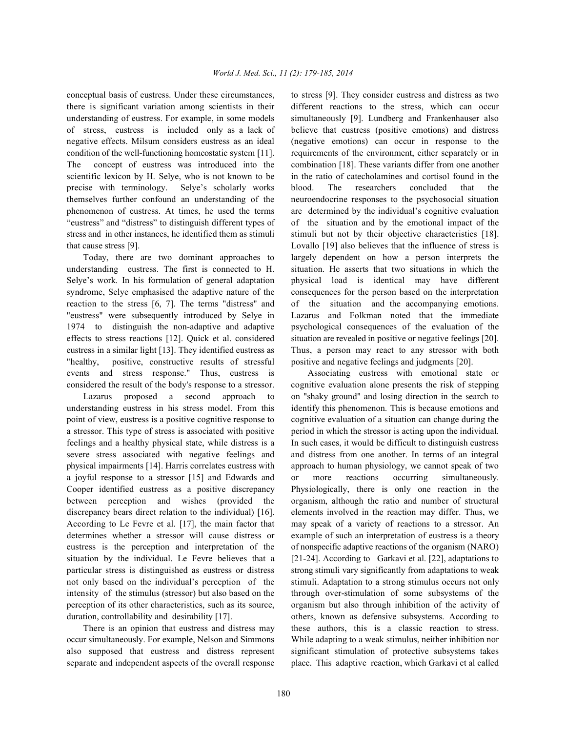there is significant variation among scientists in their different reactions to the stress, which can occur understanding of eustress. For example, in some models simultaneously [9]. Lundberg and Frankenhauser also of stress, eustress is included only as a lack of believe that eustress (positive emotions) and distress negative effects. Milsum considers eustress as an ideal (negative emotions) can occur in response to the condition of the well-functioning homeostatic system [11]. requirements of the environment, either separately or in The concept of eustress was introduced into the combination [18]. These variants differ from one another scientific lexicon by H. Selye, who is not known to be in the ratio of catecholamines and cortisol found in the precise with terminology. Selye's scholarly works blood. The researchers concluded that the themselves further confound an understanding of the neuroendocrine responses to the psychosocial situation phenomenon of eustress. At times, he used the terms are determined by the individual's cognitive evaluation "eustress" and "distress" to distinguish different types of of the situation and by the emotional impact of the stress and in other instances, he identified them as stimuli stimuli but not by their objective characteristics [18]. that cause stress [9]. Lovallo [19] also believes that the influence of stress is

understanding eustress. The first is connected to H. situation. He asserts that two situations in which the Selye's work. In his formulation of general adaptation physical load is identical may have different syndrome, Selye emphasised the adaptive nature of the consequences for the person based on the interpretation reaction to the stress [6, 7]. The terms "distress" and of the situation and the accompanying emotions. "eustress" were subsequently introduced by Selye in Lazarus and Folkman noted that the immediate 1974 to distinguish the non-adaptive and adaptive psychological consequences of the evaluation of the effects to stress reactions [12]. Quick et al. considered situation are revealed in positive or negative feelings [20]. eustress in a similar light [13]. They identified eustress as Thus, a person may react to any stressor with both "healthy, positive, constructive results of stressful positive and negative feelings and judgments [20]. events and stress response." Thus, eustress is Associating eustress with emotional state or considered the result of the body's response to a stressor. cognitive evaluation alone presents the risk of stepping

understanding eustress in his stress model. From this identify this phenomenon. This is because emotions and point of view, eustress is a positive cognitive response to cognitive evaluation of a situation can change during the a stressor. This type of stress is associated with positive period in which the stressor is acting upon the individual. feelings and a healthy physical state, while distress is a In such cases, it would be difficult to distinguish eustress severe stress associated with negative feelings and and distress from one another. In terms of an integral physical impairments [14]. Harris correlates eustress with approach to human physiology, we cannot speak of two a joyful response to a stressor [15] and Edwards and or more reactions occurring simultaneously. Cooper identified eustress as a positive discrepancy Physiologically, there is only one reaction in the between perception and wishes (provided the organism, although the ratio and number of structural discrepancy bears direct relation to the individual) [16]. elements involved in the reaction may differ. Thus, we According to Le Fevre et al. [17], the main factor that may speak of a variety of reactions to a stressor. An determines whether a stressor will cause distress or example of such an interpretation of eustress is a theory eustress is the perception and interpretation of the of nonspecific adaptive reactions of the organism (NARO) situation by the individual. Le Fevre believes that a [21-24]. According to Garkavi et al. [22], adaptations to particular stress is distinguished as eustress or distress strong stimuli vary significantly from adaptations to weak not only based on the individual's perception of the stimuli. Adaptation to a strong stimulus occurs not only intensity of the stimulus (stressor) but also based on the through over-stimulation of some subsystems of the perception of its other characteristics, such as its source, organism but also through inhibition of the activity of

occur simultaneously. For example, Nelson and Simmons While adapting to a weak stimulus, neither inhibition nor also supposed that eustress and distress represent significant stimulation of protective subsystems takes separate and independent aspects of the overall response place. This adaptive reaction, which Garkavi et al called

conceptual basis of eustress. Under these circumstances, to stress [9]. They consider eustress and distress as two Today, there are two dominant approaches to largely dependent on how a person interprets the

Lazarus proposed a second approach to on "shaky ground" and losing direction in the search to duration, controllability and desirability [17]. others, known as defensive subsystems. According to There is an opinion that eustress and distress may these authors, this is a classic reaction to stress.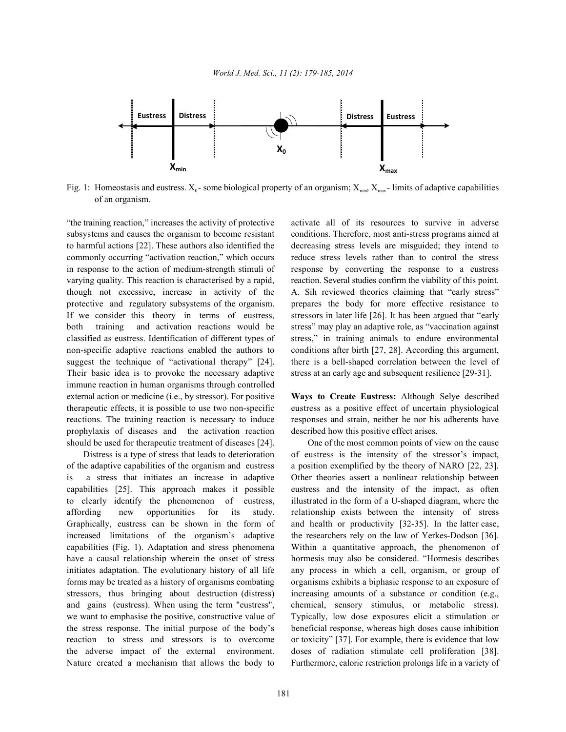

Fig. 1: Homeostasis and eustress.  $X_0$ - some biological property of an organism;  $X_{\text{min}}$ ,  $X_{\text{max}}$ -limits of adaptive capabilities of an organism.

subsystems and causes the organism to become resistant conditions. Therefore, most anti-stress programs aimed at to harmful actions [22]. These authors also identified the decreasing stress levels are misguided; they intend to commonly occurring "activation reaction," which occurs reduce stress levels rather than to control the stress in response to the action of medium-strength stimuli of response by converting the response to a eustress varying quality. This reaction is characterised by a rapid, reaction. Several studies confirm the viability of this point. though not excessive, increase in activity of the A. Sih reviewed theories claiming that "early stress" protective and regulatory subsystems of the organism. prepares the body for more effective resistance to If we consider this theory in terms of eustress, stressors in later life [26]. It has been argued that "early both training and activation reactions would be stress" may play an adaptive role, as "vaccination against classified as eustress. Identification of different types of stress," in training animals to endure environmental non-specific adaptive reactions enabled the authors to conditions after birth [27, 28]. According this argument, suggest the technique of "activational therapy" [24]. there is a bell-shaped correlation between the level of Their basic idea is to provoke the necessary adaptive stress at an early age and subsequent resilience [29-31]. immune reaction in human organisms through controlled external action or medicine (i.e., by stressor). For positive **Ways to Create Eustress:** Although Selye described therapeutic effects, it is possible to use two non-specific eustress as a positive effect of uncertain physiological reactions. The training reaction is necessary to induce responses and strain, neither he nor his adherents have prophylaxis of diseases and the activation reaction described how this positive effect arises. should be used for therapeutic treatment of diseases [24]. One of the most common points of view on the cause

of the adaptive capabilities of the organism and eustress a position exemplified by the theory of NARO [22, 23]. is a stress that initiates an increase in adaptive Other theories assert a nonlinear relationship between capabilities [25]. This approach makes it possible eustress and the intensity of the impact, as often to clearly identify the phenomenon of eustress, illustrated in the form of a U-shaped diagram, where the affording new opportunities for its study. relationship exists between the intensity of stress Graphically, eustress can be shown in the form of and health or productivity [32-35]. In the latter case, increased limitations of the organism's adaptive the researchers rely on the law of Yerkes-Dodson [36]. capabilities (Fig. 1). Adaptation and stress phenomena Within a quantitative approach, the phenomenon of have a causal relationship wherein the onset of stress hormesis may also be considered. "Hormesis describes initiates adaptation. The evolutionary history of all life any process in which a cell, organism, or group of forms may be treated as a history of organisms combating organisms exhibits a biphasic response to an exposure of stressors, thus bringing about destruction (distress) increasing amounts of a substance or condition (e.g., and gains (eustress). When using the term "eustress", chemical, sensory stimulus, or metabolic stress). we want to emphasise the positive, constructive value of Typically, low dose exposures elicit a stimulation or the stress response. The initial purpose of the body's beneficial response, whereas high doses cause inhibition reaction to stress and stressors is to overcome or toxicity" [37]. For example, there is evidence that low the adverse impact of the external environment. doses of radiation stimulate cell proliferation [38]. Nature created a mechanism that allows the body to Furthermore, caloric restriction prolongs life in a variety of

"the training reaction," increases the activity of protective activate all of its resources to survive in adverse

Distress is a type of stress that leads to deterioration of eustress is the intensity of the stressor's impact,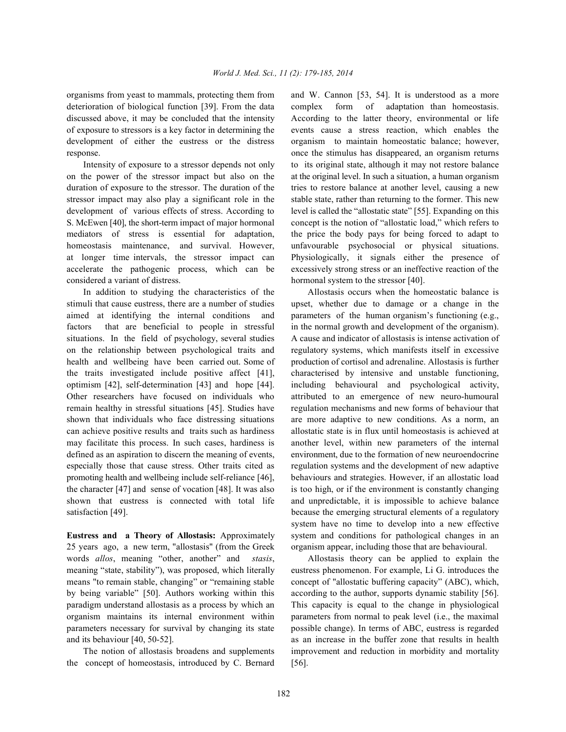deterioration of biological function [39]. From the data complex form of adaptation than homeostasis. discussed above, it may be concluded that the intensity According to the latter theory, environmental or life of exposure to stressors is a key factor in determining the events cause a stress reaction, which enables the development of either the eustress or the distress organism to maintain homeostatic balance; however, response. once the stimulus has disappeared, an organism returns

on the power of the stressor impact but also on the at the original level. In such a situation, a human organism duration of exposure to the stressor. The duration of the tries to restore balance at another level, causing a new stressor impact may also play a significant role in the stable state, rather than returning to the former. This new development of various effects of stress. According to level is called the "allostatic state" [55]. Expanding on this S. McEwen [40], the short-term impact of major hormonal concept is the notion of "allostatic load," which refers to mediators of stress is essential for adaptation, the price the body pays for being forced to adapt to homeostasis maintenance, and survival. However, unfavourable psychosocial or physical situations. at longer time intervals, the stressor impact can Physiologically, it signals either the presence of accelerate the pathogenic process, which can be excessively strong stress or an ineffective reaction of the considered a variant of distress. hormonal system to the stressor [40].

stimuli that cause eustress, there are a number of studies upset, whether due to damage or a change in the aimed at identifying the internal conditions and parameters of the human organism's functioning (e.g., factors that are beneficial to people in stressful in the normal growth and development of the organism). situations. In the field of psychology, several studies A cause and indicator of allostasis is intense activation of on the relationship between psychological traits and regulatory systems, which manifests itself in excessive health and wellbeing have been carried out. Some of production of cortisol and adrenaline. Allostasis is further the traits investigated include positive affect [41], characterised by intensive and unstable functioning, optimism [42], self-determination [43] and hope [44]. including behavioural and psychological activity, Other researchers have focused on individuals who attributed to an emergence of new neuro-humoural remain healthy in stressful situations [45]. Studies have regulation mechanisms and new forms of behaviour that shown that individuals who face distressing situations are more adaptive to new conditions. As a norm, an can achieve positive results and traits such as hardiness allostatic state is in flux until homeostasis is achieved at may facilitate this process. In such cases, hardiness is another level, within new parameters of the internal defined as an aspiration to discern the meaning of events, environment, due to the formation of new neuroendocrine especially those that cause stress. Other traits cited as regulation systems and the development of new adaptive promoting health and wellbeing include self-reliance [46], behaviours and strategies. However, if an allostatic load the character [47] and sense of vocation [48]. It was also is too high, or if the environment is constantly changing shown that eustress is connected with total life and unpredictable, it is impossible to achieve balance satisfaction [49]. because the emerging structural elements of a regulatory

25 years ago, a new term, "allostasis" (from the Greek organism appear, including those that are behavioural. words *allos*, meaning "other, another" and *stasis*, Allostasis theory can be applied to explain the meaning "state, stability"), was proposed, which literally eustress phenomenon. For example, Li G. introduces the means "to remain stable, changing" or "remaining stable concept of "allostatic buffering capacity" (ABC), which, by being variable" [50]. Authors working within this according to the author, supports dynamic stability [56]. paradigm understand allostasis as a process by which an This capacity is equal to the change in physiological organism maintains its internal environment within parameters from normal to peak level (i.e., the maximal parameters necessary for survival by changing its state possible change). In terms of ABC, eustress is regarded and its behaviour [40, 50-52]. as an increase in the buffer zone that results in health

the concept of homeostasis, introduced by C. Bernard [56].

organisms from yeast to mammals, protecting them from and W. Cannon [53, 54]. It is understood as a more Intensity of exposure to a stressor depends not only to its original state, although it may not restore balance

In addition to studying the characteristics of the Allostasis occurs when the homeostatic balance is **Eustress and a Theory of Allostasis:** Approximately system and conditions for pathological changes in an system have no time to develop into a new effective

The notion of allostasis broadens and supplements improvement and reduction in morbidity and mortality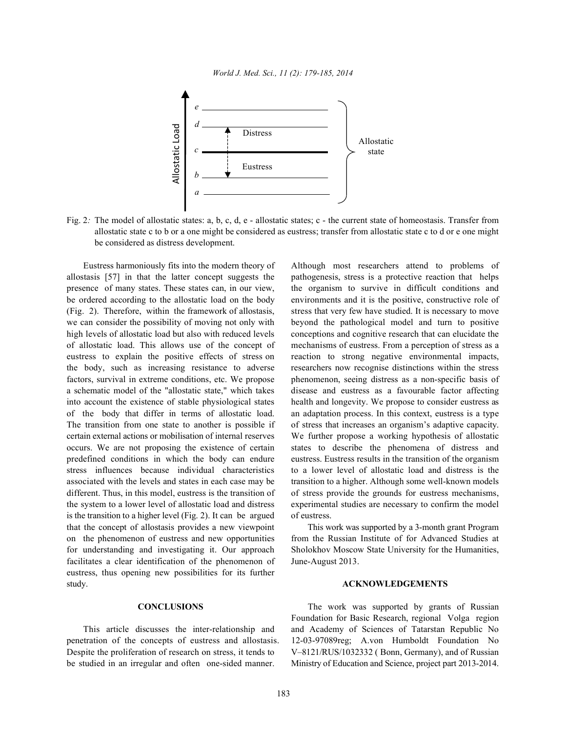

Fig. 2: The model of allostatic states: a, b, c, d, e - allostatic states; c - the current state of homeostasis. Transfer from allostatic state c to b or a one might be considered as eustress; transfer from allostatic state c to d or e one might be considered as distress development.

Eustress harmoniously fits into the modern theory of Although most researchers attend to problems of allostasis [57] in that the latter concept suggests the pathogenesis, stress is a protective reaction that helps presence of many states. These states can, in our view, the organism to survive in difficult conditions and be ordered according to the allostatic load on the body environments and it is the positive, constructive role of (Fig. 2). Therefore, within the framework of allostasis, stress that very few have studied. It is necessary to move we can consider the possibility of moving not only with beyond the pathological model and turn to positive high levels of allostatic load but also with reduced levels conceptions and cognitive research that can elucidate the of allostatic load. This allows use of the concept of mechanisms of eustress. From a perception of stress as a eustress to explain the positive effects of stress on reaction to strong negative environmental impacts, the body, such as increasing resistance to adverse researchers now recognise distinctions within the stress factors, survival in extreme conditions, etc. We propose phenomenon, seeing distress as a non-specific basis of a schematic model of the "allostatic state," which takes disease and eustress as a favourable factor affecting into account the existence of stable physiological states health and longevity. We propose to consider eustress as of the body that differ in terms of allostatic load. an adaptation process. In this context, eustress is a type The transition from one state to another is possible if of stress that increases an organism's adaptive capacity. certain external actions or mobilisation of internal reserves We further propose a working hypothesis of allostatic occurs. We are not proposing the existence of certain states to describe the phenomena of distress and predefined conditions in which the body can endure eustress. Eustress results in the transition of the organism stress influences because individual characteristics to a lower level of allostatic load and distress is the associated with the levels and states in each case may be transition to a higher. Although some well-known models different. Thus, in this model, eustress is the transition of of stress provide the grounds for eustress mechanisms, the system to a lower level of allostatic load and distress experimental studies are necessary to confirm the model is the transition to a higher level (Fig. 2). It can be argued of eustress. that the concept of allostasis provides a new viewpoint This work was supported by a 3-month grant Program on the phenomenon of eustress and new opportunities from the Russian Institute of for Advanced Studies at for understanding and investigating it. Our approach Sholokhov Moscow State University for the Humanities, facilitates a clear identification of the phenomenon of June-August 2013. eustress, thus opening new possibilities for its further study. **ACKNOWLEDGEMENTS**

penetration of the concepts of eustress and allostasis. 12-03-97089reg; A.von Humboldt Foundation No Despite the proliferation of research on stress, it tends to V–8121/RUS/1032332 (Bonn, Germany), and of Russian be studied in an irregular and often one-sided manner. Ministry of Education and Science, project part 2013-2014.

**CONCLUSIONS** The work was supported by grants of Russian This article discusses the inter-relationship and and Academy of Sciences of Tatarstan Republic No Foundation for Basic Research, regional Volga region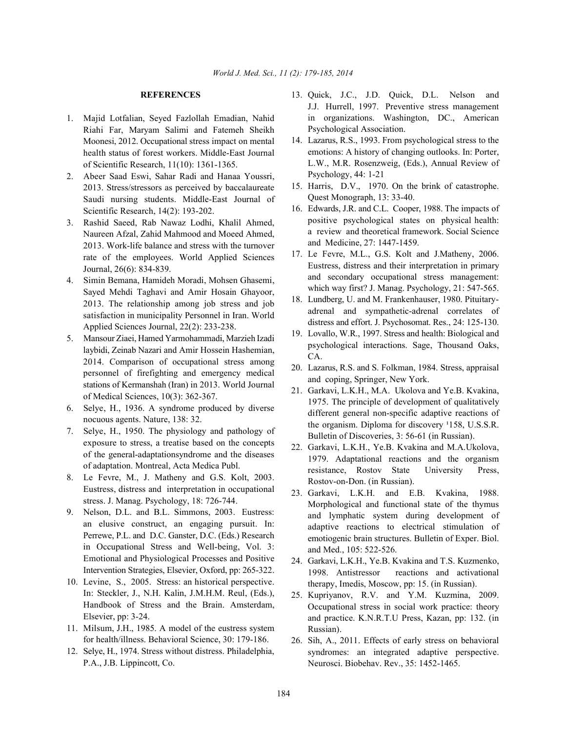- 1. Majid Lotfalian, Seyed Fazlollah Emadian, Nahid Riahi Far, Maryam Salimi and Fatemeh Sheikh Moonesi, 2012. Occupational stress impact on mental health status of forest workers. Middle-East Journal of Scientific Research, 11(10): 1361-1365.
- 2. Abeer Saad Eswi, Sahar Radi and Hanaa Youssri, 2013. Stress/stressors as perceived by baccalaureate Saudi nursing students. Middle-East Journal of Scientific Research, 14(2): 193-202.
- 3. Rashid Saeed, Rab Nawaz Lodhi, Khalil Ahmed, Naureen Afzal, Zahid Mahmood and Moeed Ahmed, 2013. Work-life balance and stress with the turnover rate of the employees. World Applied Sciences Journal, 26(6): 834-839.
- 4. Simin Bemana, Hamideh Moradi, Mohsen Ghasemi, Sayed Mehdi Taghavi and Amir Hosain Ghayoor, 2013. The relationship among job stress and job satisfaction in municipality Personnel in Iran. World Applied Sciences Journal, 22(2): 233-238.
- 5. Mansour Ziaei, Hamed Yarmohammadi, Marzieh Izadi laybidi, Zeinab Nazari and Amir Hossein Hashemian, 2014. Comparison of occupational stress among personnel of firefighting and emergency medical stations of Kermanshah (Iran) in 2013. World Journal of Medical Sciences, 10(3): 362-367.
- 6. Selye, H., 1936. A syndrome produced by diverse nocuous agents. Nature, 138: 32.
- 7. Selye, H., 1950. The physiology and pathology of exposure to stress, a treatise based on the concepts of the general-adaptationsyndrome and the diseases of adaptation. Montreal, Acta Medica Publ.
- 8. Le Fevre, M., J. Matheny and G.S. Kolt, 2003. Eustress, distress and interpretation in occupational stress. J. Manag. Psychology, 18: 726-744.
- 9. Nelson, D.L. and B.L. Simmons, 2003. Eustress: an elusive construct, an engaging pursuit. In: Perrewe, P.L. and D.C. Ganster, D.C. (Eds.) Research in Occupational Stress and Well-being, Vol. 3: Emotional and Physiological Processes and Positive Intervention Strategies, Elsevier, Oxford, pp: 265-322.
- 10. Levine, S., 2005. Stress: an historical perspective. In: Steckler, J., N.H. Kalin, J.M.H.M. Reul, (Eds.), Handbook of Stress and the Brain. Amsterdam, Elsevier, pp: 3-24.
- 11. Milsum, J.H., 1985. A model of the eustress system for health/illness. Behavioral Science, 30: 179-186.
- 12. Selye, H., 1974. Stress without distress. Philadelphia, P.A., J.B. Lippincott, Co.
- **REFERENCES** 13. Quick, J.C., J.D. Quick, D.L. Nelson and J.J. Hurrell, 1997. Preventive stress management in organizations. Washington, DC., American Psychological Association.
	- 14. Lazarus, R.S., 1993. From psychological stress to the emotions: A history of changing outlooks. In: Porter, L.W., M.R. Rosenzweig, (Eds.), Annual Review of Psychology, 44: 1-21
	- 15. Harris, D.V., 1970. On the brink of catastrophe. Quest Monograph, 13: 33-40.
	- 16. Edwards, J.R. and C.L. Cooper, 1988. The impacts of positive psychological states on physical health: a review and theoretical framework. Social Science and Medicine, 27: 1447-1459.
	- 17. Le Fevre, M.L., G.S. Kolt and J.Matheny, 2006. Eustress, distress and their interpretation in primary and secondary occupational stress management: which way first? J. Manag. Psychology, 21: 547-565.
	- 18. Lundberg, U. and M. Frankenhauser, 1980. Pituitaryadrenal and sympathetic-adrenal correlates of distress and effort. J. Psychosomat. Res., 24: 125-130.
	- 19. Lovallo, W.R., 1997. Stress and health: Biological and psychological interactions. Sage, Thousand Oaks, CA.
	- 20. Lazarus, R.S. and S. Folkman, 1984. Stress, appraisal and coping, Springer, New York.
	- 21. Garkavi, L.K.H., M.A. Ukolova and Ye.B. Kvakina, 1975. The principle of development of qualitatively different general non-specific adaptive reactions of the organism. Diploma for discovery  $1158$ , U.S.S.R. Bulletin of Discoveries, 3: 56-61 (in Russian).
	- 22. Garkavi, L.K.H., Ye.B. Kvakina and M.A.Ukolova, 1979. Adaptational reactions and the organism resistance, Rostov State University Press, Rostov-on-Don. (in Russian).
	- 23. Garkavi, L.K.H. and E.B. Kvakina, 1988. Morphological and functional state of the thymus and lymphatic system during development of adaptive reactions to electrical stimulation of emotiogenic brain structures. Bulletin of Exper. Biol. and Med., 105: 522-526.
	- 24. Garkavi, L.K.H., Ye.B. Kvakina and T.S. Kuzmenko, 1998. Antistressor reactions and activational therapy, Imedis, Moscow, pp: 15. (in Russian).
	- 25. Kupriyanov, R.V. and Y.M. Kuzmina, 2009. Occupational stress in social work practice: theory and practice. K.N.R.T.U Press, Kazan, pp: 132. (in Russian).
	- 26. Sih, A., 2011. Effects of early stress on behavioral syndromes: an integrated adaptive perspective. Neurosci. Biobehav. Rev., 35: 1452-1465.